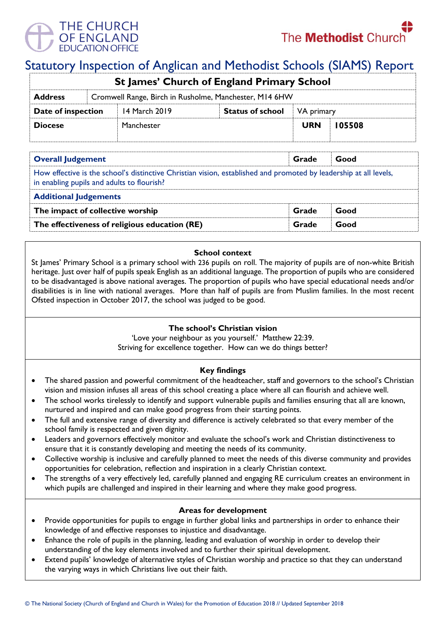

# Statutory Inspection of Anglican and Methodist Schools (SIAMS) Report

| <b>St James' Church of England Primary School</b>                        |  |               |                         |            |        |  |  |
|--------------------------------------------------------------------------|--|---------------|-------------------------|------------|--------|--|--|
| Cromwell Range, Birch in Rusholme, Manchester, M14 6HW<br><b>Address</b> |  |               |                         |            |        |  |  |
| Date of inspection                                                       |  | 14 March 2019 | <b>Status of school</b> | VA primary |        |  |  |
| <b>Diocese</b>                                                           |  | Manchester    |                         | <b>URN</b> | 105508 |  |  |
|                                                                          |  |               |                         |            |        |  |  |

| <b>Overall Judgement</b>                                                                                                                                        | Grade | Good |  |  |  |  |
|-----------------------------------------------------------------------------------------------------------------------------------------------------------------|-------|------|--|--|--|--|
| How effective is the school's distinctive Christian vision, established and promoted by leadership at all levels,<br>in enabling pupils and adults to flourish? |       |      |  |  |  |  |
| <b>Additional Judgements</b>                                                                                                                                    |       |      |  |  |  |  |
| The impact of collective worship                                                                                                                                | Grade | Good |  |  |  |  |
| The effectiveness of religious education (RE)                                                                                                                   | Grade | Good |  |  |  |  |

## **School context**

St James' Primary School is a primary school with 236 pupils on roll. The majority of pupils are of non-white British heritage. Just over half of pupils speak English as an additional language. The proportion of pupils who are considered to be disadvantaged is above national averages. The proportion of pupils who have special educational needs and/or disabilities is in line with national averages. More than half of pupils are from Muslim families. In the most recent Ofsted inspection in October 2017, the school was judged to be good.

### **The school's Christian vision**

'Love your neighbour as you yourself.' Matthew 22:39. Striving for excellence together. How can we do things better?

## **Key findings**

- The shared passion and powerful commitment of the headteacher, staff and governors to the school's Christian vision and mission infuses all areas of this school creating a place where all can flourish and achieve well.
- The school works tirelessly to identify and support vulnerable pupils and families ensuring that all are known, nurtured and inspired and can make good progress from their starting points.
- The full and extensive range of diversity and difference is actively celebrated so that every member of the school family is respected and given dignity.
- Leaders and governors effectively monitor and evaluate the school's work and Christian distinctiveness to ensure that it is constantly developing and meeting the needs of its community.
- Collective worship is inclusive and carefully planned to meet the needs of this diverse community and provides opportunities for celebration, reflection and inspiration in a clearly Christian context.
- The strengths of a very effectively led, carefully planned and engaging RE curriculum creates an environment in which pupils are challenged and inspired in their learning and where they make good progress.

### **Areas for development**

- Provide opportunities for pupils to engage in further global links and partnerships in order to enhance their knowledge of and effective responses to injustice and disadvantage.
- Enhance the role of pupils in the planning, leading and evaluation of worship in order to develop their understanding of the key elements involved and to further their spiritual development.
- Extend pupils' knowledge of alternative styles of Christian worship and practice so that they can understand the varying ways in which Christians live out their faith.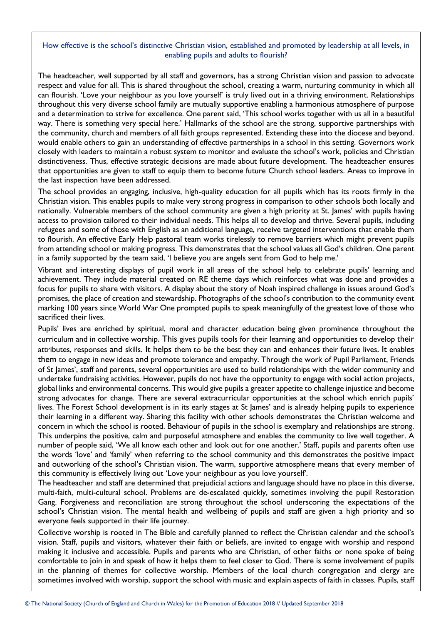## How effective is the school's distinctive Christian vision, established and promoted by leadership at all levels, in enabling pupils and adults to flourish?

The headteacher, well supported by all staff and governors, has a strong Christian vision and passion to advocate respect and value for all. This is shared throughout the school, creating a warm, nurturing community in which all can flourish. 'Love your neighbour as you love yourself' is truly lived out in a thriving environment. Relationships throughout this very diverse school family are mutually supportive enabling a harmonious atmosphere of purpose and a determination to strive for excellence. One parent said, 'This school works together with us all in a beautiful way. There is something very special here.' Hallmarks of the school are the strong, supportive partnerships with the community, church and members of all faith groups represented. Extending these into the diocese and beyond. would enable others to gain an understanding of effective partnerships in a school in this setting. Governors work closely with leaders to maintain a robust system to monitor and evaluate the school's work, policies and Christian distinctiveness. Thus, effective strategic decisions are made about future development. The headteacher ensures that opportunities are given to staff to equip them to become future Church school leaders. Areas to improve in the last inspection have been addressed.

The school provides an engaging, inclusive, high-quality education for all pupils which has its roots firmly in the Christian vision. This enables pupils to make very strong progress in comparison to other schools both locally and nationally. Vulnerable members of the school community are given a high priority at St. James' with pupils having access to provision tailored to their individual needs. This helps all to develop and thrive. Several pupils, including refugees and some of those with English as an additional language, receive targeted interventions that enable them to flourish. An effective Early Help pastoral team works tirelessly to remove barriers which might prevent pupils from attending school or making progress. This demonstrates that the school values all God's children. One parent in a family supported by the team said, 'I believe you are angels sent from God to help me.'

Vibrant and interesting displays of pupil work in all areas of the school help to celebrate pupils' learning and achievement. They include material created on RE theme days which reinforces what was done and provides a focus for pupils to share with visitors. A display about the story of Noah inspired challenge in issues around God's promises, the place of creation and stewardship. Photographs of the school's contribution to the community event marking 100 years since World War One prompted pupils to speak meaningfully of the greatest love of those who sacrificed their lives.

Pupils' lives are enriched by spiritual, moral and character education being given prominence throughout the curriculum and in collective worship. This gives pupils tools for their learning and opportunities to develop their attributes, responses and skills. It helps them to be the best they can and enhances their future lives. It enables them to engage in new ideas and promote tolerance and empathy. Through the work of Pupil Parliament, Friends of St James', staff and parents, several opportunities are used to build relationships with the wider community and undertake fundraising activities. However, pupils do not have the opportunity to engage with social action projects, global links and environmental concerns. This would give pupils a greater appetite to challenge injustice and become strong advocates for change. There are several extracurricular opportunities at the school which enrich pupils' lives. The Forest School development is in its early stages at St James' and is already helping pupils to experience their learning in a different way. Sharing this facility with other schools demonstrates the Christian welcome and concern in which the school is rooted. Behaviour of pupils in the school is exemplary and relationships are strong. This underpins the positive, calm and purposeful atmosphere and enables the community to live well together. A number of people said, 'We all know each other and look out for one another.' Staff, pupils and parents often use the words 'love' and 'family' when referring to the school community and this demonstrates the positive impact and outworking of the school's Christian vision. The warm, supportive atmosphere means that every member of this community is effectively living out 'Love your neighbour as you love yourself'.

The headteacher and staff are determined that prejudicial actions and language should have no place in this diverse, multi-faith, multi-cultural school. Problems are de-escalated quickly, sometimes involving the pupil Restoration Gang. Forgiveness and reconciliation are strong throughout the school underscoring the expectations of the school's Christian vision. The mental health and wellbeing of pupils and staff are given a high priority and so everyone feels supported in their life journey.

Collective worship is rooted in The Bible and carefully planned to reflect the Christian calendar and the school's vision. Staff, pupils and visitors, whatever their faith or beliefs, are invited to engage with worship and respond making it inclusive and accessible. Pupils and parents who are Christian, of other faiths or none spoke of being comfortable to join in and speak of how it helps them to feel closer to God. There is some involvement of pupils in the planning of themes for collective worship. Members of the local church congregation and clergy are sometimes involved with worship, support the school with music and explain aspects of faith in classes. Pupils, staff